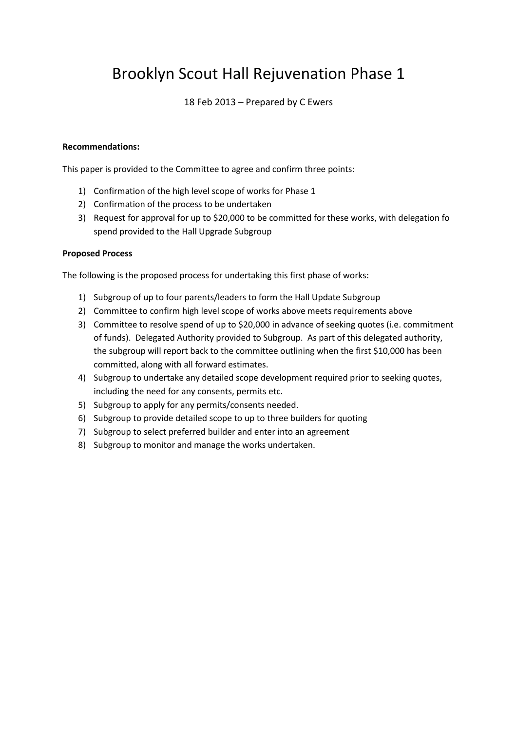# Brooklyn Scout Hall Rejuvenation Phase 1

### 18 Feb 2013 – Prepared by C Ewers

### **Recommendations:**

This paper is provided to the Committee to agree and confirm three points:

- 1) Confirmation of the high level scope of works for Phase 1
- 2) Confirmation of the process to be undertaken
- 3) Request for approval for up to \$20,000 to be committed for these works, with delegation fo spend provided to the Hall Upgrade Subgroup

### **Proposed Process**

The following is the proposed process for undertaking this first phase of works:

- 1) Subgroup of up to four parents/leaders to form the Hall Update Subgroup
- 2) Committee to confirm high level scope of works above meets requirements above
- 3) Committee to resolve spend of up to \$20,000 in advance of seeking quotes (i.e. commitment of funds). Delegated Authority provided to Subgroup. As part of this delegated authority, the subgroup will report back to the committee outlining when the first \$10,000 has been committed, along with all forward estimates.
- 4) Subgroup to undertake any detailed scope development required prior to seeking quotes, including the need for any consents, permits etc.
- 5) Subgroup to apply for any permits/consents needed.
- 6) Subgroup to provide detailed scope to up to three builders for quoting
- 7) Subgroup to select preferred builder and enter into an agreement
- 8) Subgroup to monitor and manage the works undertaken.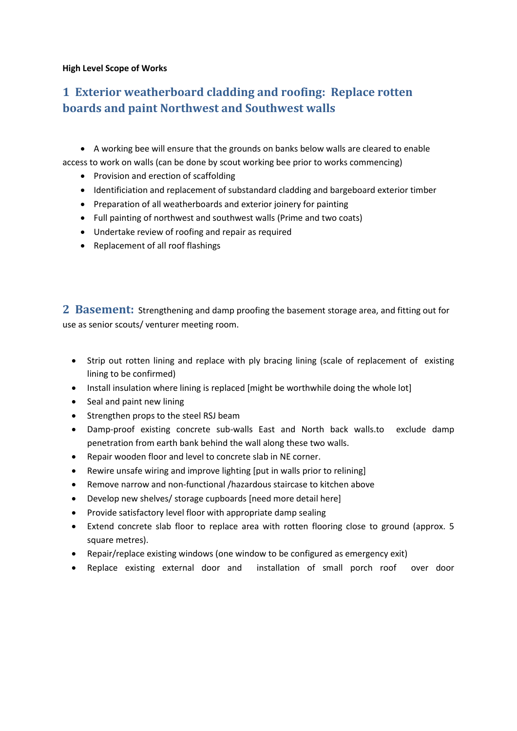#### **High Level Scope of Works**

# **1 Exterior weatherboard cladding and roofing: Replace rotten boards and paint Northwest and Southwest walls**

 A working bee will ensure that the grounds on banks below walls are cleared to enable access to work on walls (can be done by scout working bee prior to works commencing)

- Provision and erection of scaffolding
- Identificiation and replacement of substandard cladding and bargeboard exterior timber
- Preparation of all weatherboards and exterior joinery for painting
- Full painting of northwest and southwest walls (Prime and two coats)
- Undertake review of roofing and repair as required
- Replacement of all roof flashings

**2 Basement:** Strengthening and damp proofing the basement storage area, and fitting out for use as senior scouts/ venturer meeting room.

- Strip out rotten lining and replace with ply bracing lining (scale of replacement of existing lining to be confirmed)
- Install insulation where lining is replaced [might be worthwhile doing the whole lot]
- Seal and paint new lining
- Strengthen props to the steel RSJ beam
- Damp-proof existing concrete sub-walls East and North back walls.to exclude damp penetration from earth bank behind the wall along these two walls.
- Repair wooden floor and level to concrete slab in NE corner.
- Rewire unsafe wiring and improve lighting [put in walls prior to relining]
- Remove narrow and non-functional /hazardous staircase to kitchen above
- Develop new shelves/ storage cupboards [need more detail here]
- Provide satisfactory level floor with appropriate damp sealing
- Extend concrete slab floor to replace area with rotten flooring close to ground (approx. 5 square metres).
- Repair/replace existing windows (one window to be configured as emergency exit)
- Replace existing external door and installation of small porch roof over door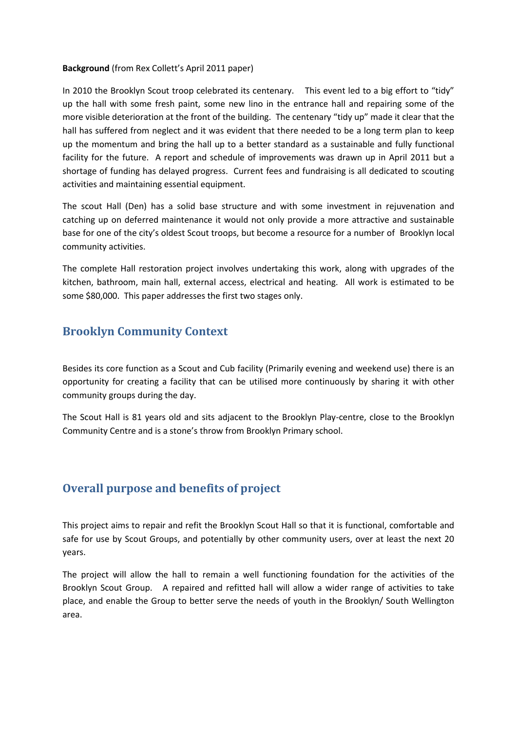#### **Background** (from Rex Collett's April 2011 paper)

In 2010 the Brooklyn Scout troop celebrated its centenary. This event led to a big effort to "tidy" up the hall with some fresh paint, some new lino in the entrance hall and repairing some of the more visible deterioration at the front of the building. The centenary "tidy up" made it clear that the hall has suffered from neglect and it was evident that there needed to be a long term plan to keep up the momentum and bring the hall up to a better standard as a sustainable and fully functional facility for the future. A report and schedule of improvements was drawn up in April 2011 but a shortage of funding has delayed progress. Current fees and fundraising is all dedicated to scouting activities and maintaining essential equipment.

The scout Hall (Den) has a solid base structure and with some investment in rejuvenation and catching up on deferred maintenance it would not only provide a more attractive and sustainable base for one of the city's oldest Scout troops, but become a resource for a number of Brooklyn local community activities.

The complete Hall restoration project involves undertaking this work, along with upgrades of the kitchen, bathroom, main hall, external access, electrical and heating. All work is estimated to be some \$80,000. This paper addresses the first two stages only.

### **Brooklyn Community Context**

Besides its core function as a Scout and Cub facility (Primarily evening and weekend use) there is an opportunity for creating a facility that can be utilised more continuously by sharing it with other community groups during the day.

The Scout Hall is 81 years old and sits adjacent to the Brooklyn Play-centre, close to the Brooklyn Community Centre and is a stone's throw from Brooklyn Primary school.

### **Overall purpose and benefits of project**

This project aims to repair and refit the Brooklyn Scout Hall so that it is functional, comfortable and safe for use by Scout Groups, and potentially by other community users, over at least the next 20 years.

The project will allow the hall to remain a well functioning foundation for the activities of the Brooklyn Scout Group. A repaired and refitted hall will allow a wider range of activities to take place, and enable the Group to better serve the needs of youth in the Brooklyn/ South Wellington area.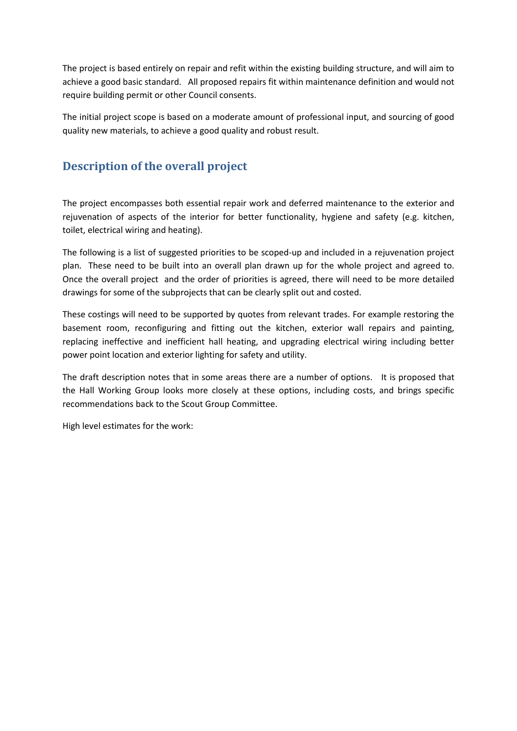The project is based entirely on repair and refit within the existing building structure, and will aim to achieve a good basic standard. All proposed repairs fit within maintenance definition and would not require building permit or other Council consents.

The initial project scope is based on a moderate amount of professional input, and sourcing of good quality new materials, to achieve a good quality and robust result.

# **Description of the overall project**

The project encompasses both essential repair work and deferred maintenance to the exterior and rejuvenation of aspects of the interior for better functionality, hygiene and safety (e.g. kitchen, toilet, electrical wiring and heating).

The following is a list of suggested priorities to be scoped-up and included in a rejuvenation project plan. These need to be built into an overall plan drawn up for the whole project and agreed to. Once the overall project and the order of priorities is agreed, there will need to be more detailed drawings for some of the subprojects that can be clearly split out and costed.

These costings will need to be supported by quotes from relevant trades. For example restoring the basement room, reconfiguring and fitting out the kitchen, exterior wall repairs and painting, replacing ineffective and inefficient hall heating, and upgrading electrical wiring including better power point location and exterior lighting for safety and utility.

The draft description notes that in some areas there are a number of options. It is proposed that the Hall Working Group looks more closely at these options, including costs, and brings specific recommendations back to the Scout Group Committee.

High level estimates for the work: